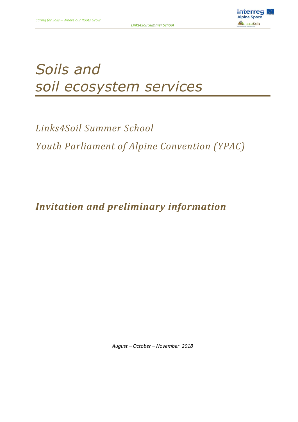

# *Soils and soil ecosystem services*

*Links4Soil Summer School Youth Parliament of Alpine Convention (YPAC)*

*Invitation and preliminary information* 

*August – October – November 2018*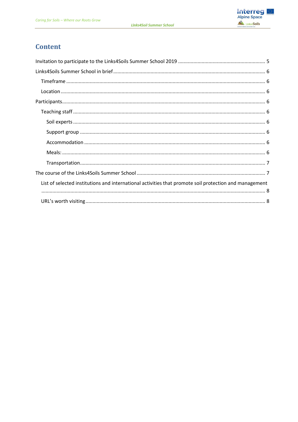

## **Content**

| List of selected institutions and international activities that promote soil protection and management |  |  |  |
|--------------------------------------------------------------------------------------------------------|--|--|--|
|                                                                                                        |  |  |  |
|                                                                                                        |  |  |  |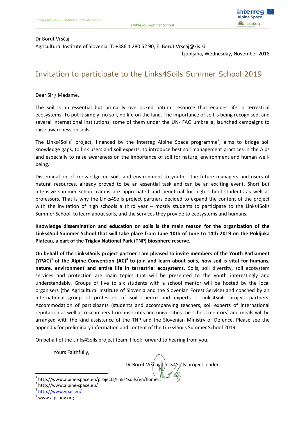

#### Dr Borut Vrščaj

Agricultural Institute of Slovenia, T: +386 1 280 52 90, E: Borut.Vrscaj@kis.si

Ljubljana, Wednesday, November 2018

## <span id="page-4-0"></span>Invitation to participate to the Links4Soils Summer School 2019

Dear Sir / Madame,

The soil is an essential but primarily overlooked natural resource that enables life in terrestrial ecosystems. To put it simply: no soil, no life on the land. The importance of soil is being recognised, and several international institutions, some of them under the UN- FAO umbrella, launched campaigns to raise awareness on soils.

The Links4Soils<sup>1</sup> project, financed by the Interreg Alpine Space programme<sup>2</sup>, aims to bridge soil knowledge gaps, to link users and soil experts, to introduce best soil management practices in the Alps and especially to raise awareness on the importance of soil for nature, environment and human wellbeing.

Dissemination of knowledge on soils and environment to youth - the future managers and users of natural resources, already proved to be an essential task and can be an exciting event. Short but intensive summer school camps are appreciated and beneficial for high school students as well as professors. That is why the Links4Soils project partners decided to expand the content of the project with the invitation of high schools a third year – mostly students to participate to the Links4Soils Summer School, to learn about soils, and the services they provide to ecosystems and humans.

**Knowledge dissemination and education on soils is the main reason for the organization of the Links4Soil Summer School that will take place from June 10th of June to 14th 2019 on the Pokljuka Plateau, a part of the Triglav National Park (TNP) biosphere reserve.**

**On behalf of the Links4Soils project partner I am pleased to invite members of the Youth Parliament (YPAC)<sup>3</sup> of the Alpine Convention (AC)<sup>4</sup> to join and learn about soils, how soil is vital for humans, nature, environment and entire life in terrestrial ecosystems.** Soils, soil diversity, soil ecosystem services and protection are main topics that will be presented to the youth interestingly and understandably. Groups of five to six students with a school mentor will be hosted by the local organisers (the Agricultural Institute of Slovenia and the Slovenian Forest Service) and coached by an international group of professors of soil science and experts – Links4Soils project partners. Accommodation of participants (students and accompanying teachers, soil experts of international reputation as well as researchers from institutes and universities the school mentors) and meals will be arranged with the kind assistance of the TNP and the Slovenian Ministry of Defence. Please see the appendix for preliminary information and content of the Links4Soils Summer School 2019.

On behalf of the Links4Soils project team, I look forward to hearing from you.

Yours Faithfully,

Dr Borut Vrščaj, Links4Soils project leader

l  $^{1}$  http://www.alpine-space.eu/projects/links4soils/en/home

<sup>2</sup> http://www.alpine-space.eu/

<sup>&</sup>lt;sup>3</sup> <http://www.ypac.eu/>

www.alpconv.org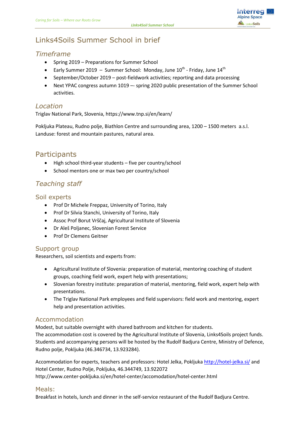

## <span id="page-5-0"></span>Links4Soils Summer School in brief

### <span id="page-5-1"></span>*Timeframe*

- Spring 2019 Preparations for Summer School
- Early Summer 2019 Summer School: Monday, June  $10^{\text{th}}$  Friday, June  $14^{\text{th}}$
- September/October 2019 post-fieldwork activities; reporting and data processing
- Next YPAC congress autumn 1019 -- spring 2020 public presentation of the Summer School activities.

#### <span id="page-5-2"></span>*Location*

Triglav National Park, Slovenia, https://www.tnp.si/en/learn/

Pokljuka Plateau, Rudno polje, Biathlon Centre and surrounding area, 1200 – 1500 meters a.s.l. Landuse: forest and mountain pastures, natural area.

## <span id="page-5-3"></span>**Participants**

- High school third-year students five per country/school
- School mentors one or max two per country/school

## <span id="page-5-4"></span>*Teaching staff*

#### <span id="page-5-5"></span>Soil experts

- Prof Dr Michele Freppaz, University of Torino, Italy
- Prof Dr Silvia Stanchi, University of Torino, Italy
- Assoc Prof Borut Vrščaj, Agricultural Institute of Slovenia
- Dr Aleš Poljanec, Slovenian Forest Service
- Prof Dr Clemens Geitner

#### <span id="page-5-6"></span>Support group

Researchers, soil scientists and experts from:

- Agricultural Institute of Slovenia: preparation of material, mentoring coaching of student groups, coaching field work, expert help with presentations;
- Slovenian forestry institute: preparation of material, mentoring, field work, expert help with presentations.
- The Triglav National Park employees and field supervisors: field work and mentoring, expert help and presentation activities.

#### <span id="page-5-7"></span>Accommodation

Modest, but suitable overnight with shared bathroom and kitchen for students.

The accommodation cost is covered by the Agricultural Institute of Slovenia, Links4Soils project funds. Students and accompanying persons will be hosted by the Rudolf Badjura Centre, Ministry of Defence, Rudno polje, Pokljuka (46.346734, 13.923284).

Accommodation for experts, teachers and professors: Hotel Jelka, Pokljuk[a http://hotel-jelka.si/](http://hotel-jelka.si/) and Hotel Center, Rudno Polje, Pokljuka, 46.344749, 13.922072

http://www.center-pokljuka.si/en/hotel-center/accomodation/hotel-center.html

#### <span id="page-5-8"></span>Meals:

Breakfast in hotels, lunch and dinner in the self-service restaurant of the Rudolf Badjura Centre.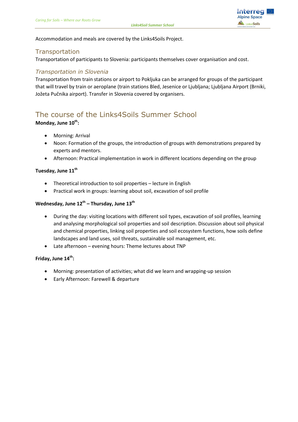

Accommodation and meals are covered by the Links4Soils Project.

#### <span id="page-6-0"></span>**Transportation**

Transportation of participants to Slovenia: participants themselves cover organisation and cost.

#### *Transportation in Slovenia*

Transportation from train stations or airport to Pokljuka can be arranged for groups of the participant that will travel by train or aeroplane (train stations Bled, Jesenice or Ljubljana; Ljubljana Airport (Brniki, Jožeta Pučnika airport). Transfer in Slovenia covered by organisers.

## <span id="page-6-1"></span>The course of the Links4Soils Summer School

#### **Monday, June 10th:**

- Morning: Arrival
- Noon: Formation of the groups, the introduction of groups with demonstrations prepared by experts and mentors.
- Afternoon: Practical implementation in work in different locations depending on the group

#### **Tuesday, June 11th**

- Theoretical introduction to soil properties lecture in English
- Practical work in groups: learning about soil, excavation of soil profile

#### **Wednesday, June 12th – Thursday, June 13 th**

- During the day: visiting locations with different soil types, excavation of soil profiles, learning and analysing morphological soil properties and soil description. Discussion about soil physical and chemical properties, linking soil properties and soil ecosystem functions, how soils define landscapes and land uses, soil threats, sustainable soil management, etc.
- Late afternoon evening hours: Theme lectures about TNP

#### **Friday, June 14th:**

- Morning: presentation of activities; what did we learn and wrapping-up session
- Early Afternoon: Farewell & departure